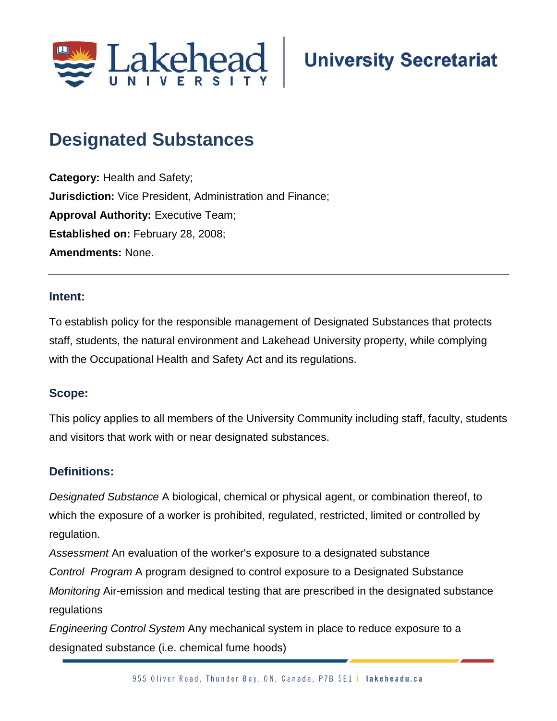

# **Designated Substances**

**Category:** Health and Safety; **Jurisdiction:** Vice President, Administration and Finance; **Approval Authority: Executive Team; Established on:** February 28, 2008; **Amendments:** None.

#### **Intent:**

To establish policy for the responsible management of Designated Substances that protects staff, students, the natural environment and Lakehead University property, while complying with the Occupational Health and Safety Act and its regulations.

#### **Scope:**

This policy applies to all members of the University Community including staff, faculty, students and visitors that work with or near designated substances.

#### **Definitions:**

*Designated Substance* A biological, chemical or physical agent, or combination thereof, to which the exposure of a worker is prohibited, regulated, restricted, limited or controlled by regulation.

*Assessment* An evaluation of the worker's exposure to a designated substance *Control Program* A program designed to control exposure to a Designated Substance *Monitoring* Air-emission and medical testing that are prescribed in the designated substance regulations

*Engineering Control System* Any mechanical system in place to reduce exposure to a designated substance (i.e. chemical fume hoods)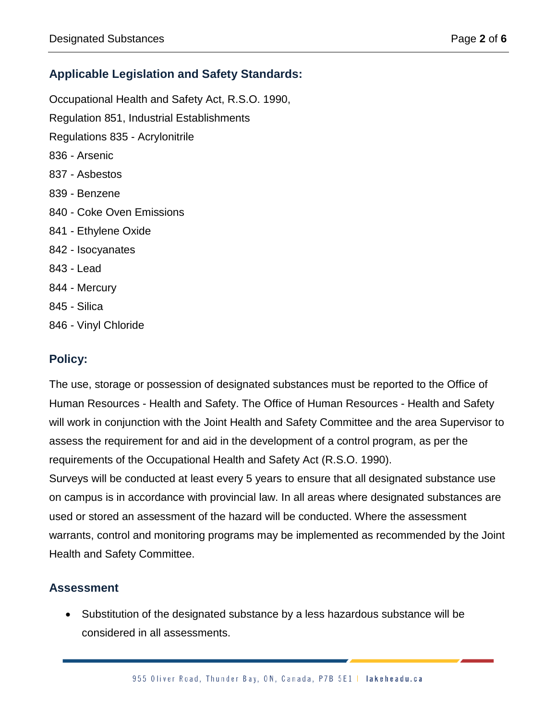# **Applicable Legislation and Safety Standards:**

Occupational Health and Safety Act, R.S.O. 1990, Regulation 851, Industrial Establishments Regulations 835 - Acrylonitrile 836 - Arsenic 837 - Asbestos 839 - Benzene 840 - Coke Oven Emissions 841 - Ethylene Oxide 842 - Isocyanates 843 - Lead 844 - Mercury 845 - Silica

846 - Vinyl Chloride

# **Policy:**

The use, storage or possession of designated substances must be reported to the Office of Human Resources - Health and Safety. The Office of Human Resources - Health and Safety will work in conjunction with the Joint Health and Safety Committee and the area Supervisor to assess the requirement for and aid in the development of a control program, as per the requirements of the Occupational Health and Safety Act (R.S.O. 1990).

Surveys will be conducted at least every 5 years to ensure that all designated substance use on campus is in accordance with provincial law. In all areas where designated substances are used or stored an assessment of the hazard will be conducted. Where the assessment warrants, control and monitoring programs may be implemented as recommended by the Joint Health and Safety Committee.

#### **Assessment**

• Substitution of the designated substance by a less hazardous substance will be considered in all assessments.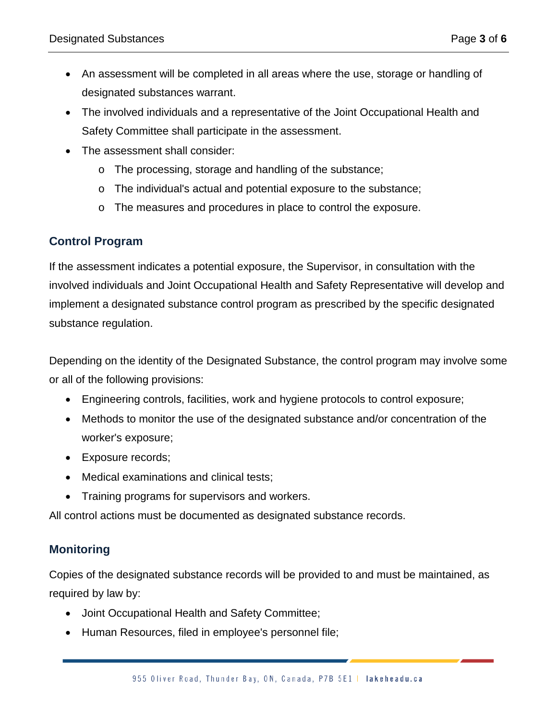- An assessment will be completed in all areas where the use, storage or handling of designated substances warrant.
- The involved individuals and a representative of the Joint Occupational Health and Safety Committee shall participate in the assessment.
- The assessment shall consider:
	- o The processing, storage and handling of the substance;
	- o The individual's actual and potential exposure to the substance;
	- o The measures and procedures in place to control the exposure.

#### **Control Program**

If the assessment indicates a potential exposure, the Supervisor, in consultation with the involved individuals and Joint Occupational Health and Safety Representative will develop and implement a designated substance control program as prescribed by the specific designated substance regulation.

Depending on the identity of the Designated Substance, the control program may involve some or all of the following provisions:

- Engineering controls, facilities, work and hygiene protocols to control exposure;
- Methods to monitor the use of the designated substance and/or concentration of the worker's exposure;
- Exposure records;
- Medical examinations and clinical tests;
- Training programs for supervisors and workers.

All control actions must be documented as designated substance records.

#### **Monitoring**

Copies of the designated substance records will be provided to and must be maintained, as required by law by:

- Joint Occupational Health and Safety Committee;
- Human Resources, filed in employee's personnel file;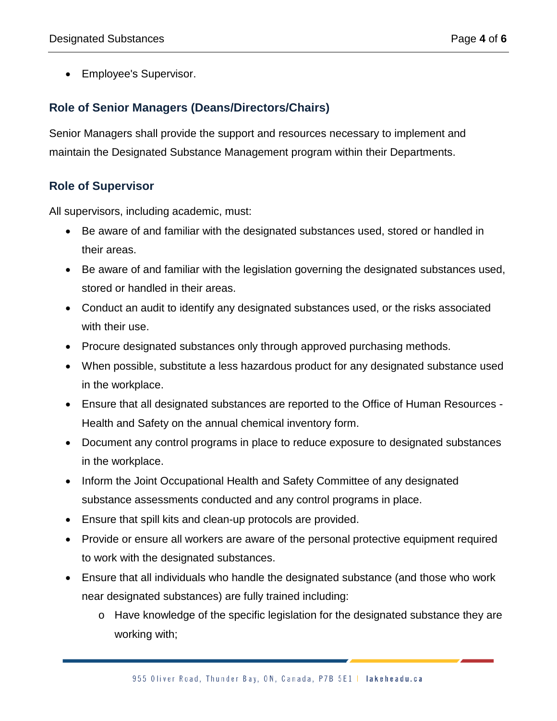• Employee's Supervisor.

# **Role of Senior Managers (Deans/Directors/Chairs)**

Senior Managers shall provide the support and resources necessary to implement and maintain the Designated Substance Management program within their Departments.

## **Role of Supervisor**

All supervisors, including academic, must:

- Be aware of and familiar with the designated substances used, stored or handled in their areas.
- Be aware of and familiar with the legislation governing the designated substances used, stored or handled in their areas.
- Conduct an audit to identify any designated substances used, or the risks associated with their use.
- Procure designated substances only through approved purchasing methods.
- When possible, substitute a less hazardous product for any designated substance used in the workplace.
- Ensure that all designated substances are reported to the Office of Human Resources Health and Safety on the annual chemical inventory form.
- Document any control programs in place to reduce exposure to designated substances in the workplace.
- Inform the Joint Occupational Health and Safety Committee of any designated substance assessments conducted and any control programs in place.
- Ensure that spill kits and clean-up protocols are provided.
- Provide or ensure all workers are aware of the personal protective equipment required to work with the designated substances.
- Ensure that all individuals who handle the designated substance (and those who work near designated substances) are fully trained including:
	- o Have knowledge of the specific legislation for the designated substance they are working with;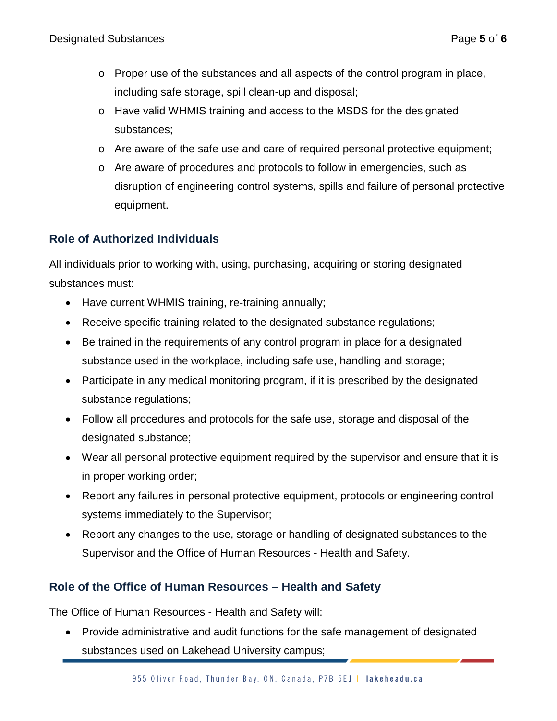- o Proper use of the substances and all aspects of the control program in place, including safe storage, spill clean-up and disposal;
- o Have valid WHMIS training and access to the MSDS for the designated substances;
- o Are aware of the safe use and care of required personal protective equipment;
- o Are aware of procedures and protocols to follow in emergencies, such as disruption of engineering control systems, spills and failure of personal protective equipment.

## **Role of Authorized Individuals**

All individuals prior to working with, using, purchasing, acquiring or storing designated substances must:

- Have current WHMIS training, re-training annually;
- Receive specific training related to the designated substance regulations;
- Be trained in the requirements of any control program in place for a designated substance used in the workplace, including safe use, handling and storage;
- Participate in any medical monitoring program, if it is prescribed by the designated substance regulations;
- Follow all procedures and protocols for the safe use, storage and disposal of the designated substance;
- Wear all personal protective equipment required by the supervisor and ensure that it is in proper working order;
- Report any failures in personal protective equipment, protocols or engineering control systems immediately to the Supervisor;
- Report any changes to the use, storage or handling of designated substances to the Supervisor and the Office of Human Resources - Health and Safety.

#### **Role of the Office of Human Resources – Health and Safety**

The Office of Human Resources - Health and Safety will:

• Provide administrative and audit functions for the safe management of designated substances used on Lakehead University campus;